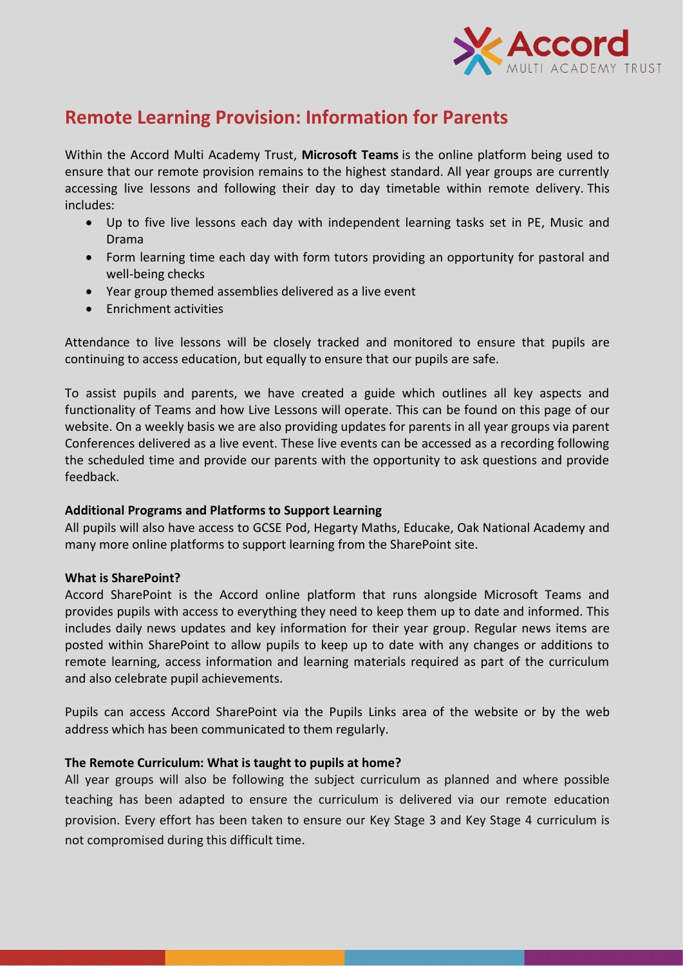

# **Remote Learning Provision: Information for Parents**

Within the Accord Multi Academy Trust, **Microsoft Teams** is the online platform being used to ensure that our remote provision remains to the highest standard. All year groups are currently accessing live lessons and following their day to day timetable within remote delivery. This includes:

- Up to five live lessons each day with independent learning tasks set in PE, Music and Drama
- Form learning time each day with form tutors providing an opportunity for pastoral and well-being checks
- Year group themed assemblies delivered as a live event
- **•** Enrichment activities

Attendance to live lessons will be closely tracked and monitored to ensure that pupils are continuing to access education, but equally to ensure that our pupils are safe.

To assist pupils and parents, we have created a guide which outlines all key aspects and functionality of Teams and how Live Lessons will operate. This can be found on this page of our website. On a weekly basis we are also providing updates for parents in all year groups via parent Conferences delivered as a live event. These live events can be accessed as a recording following the scheduled time and provide our parents with the opportunity to ask questions and provide feedback.

## **Additional Programs and Platforms to Support Learning**

All pupils will also have access to GCSE Pod, Hegarty Maths, Educake, Oak National Academy and many more online platforms to support learning from the SharePoint site.

## **What is SharePoint?**

Accord SharePoint is the Accord online platform that runs alongside Microsoft Teams and provides pupils with access to everything they need to keep them up to date and informed. This includes daily news updates and key information for their year group. Regular news items are posted within SharePoint to allow pupils to keep up to date with any changes or additions to remote learning, access information and learning materials required as part of the curriculum and also celebrate pupil achievements.

Pupils can access Accord SharePoint via the Pupils Links area of the website or by the web address which has been communicated to them regularly.

## **The Remote Curriculum: What is taught to pupils at home?**

All year groups will also be following the subject curriculum as planned and where possible teaching has been adapted to ensure the curriculum is delivered via our remote education provision. Every effort has been taken to ensure our Key Stage 3 and Key Stage 4 curriculum is not compromised during this difficult time.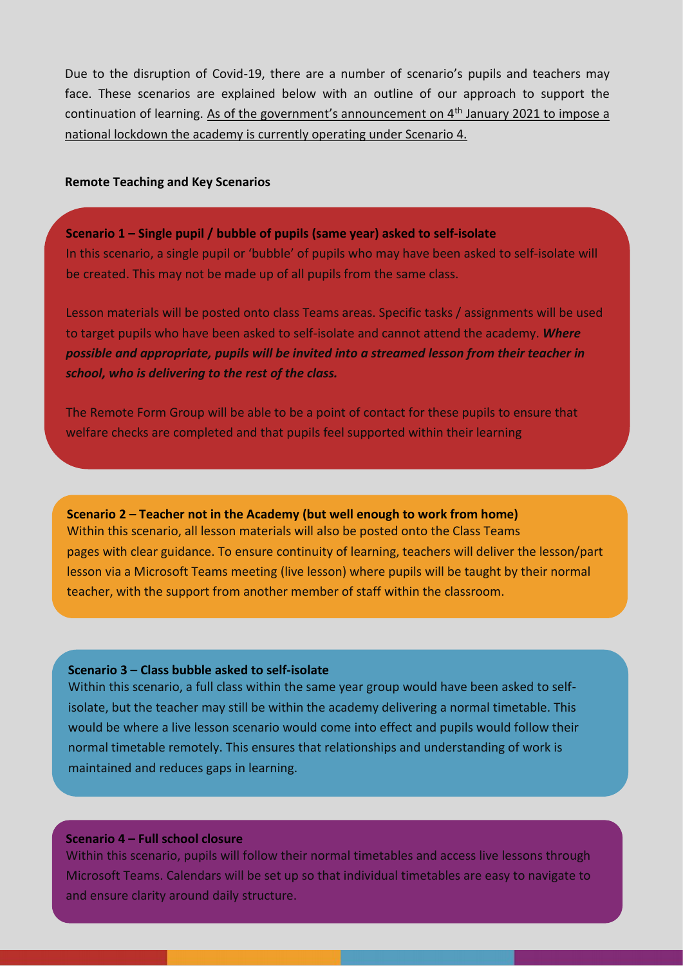Due to the disruption of Covid-19, there are a number of scenario's pupils and teachers may face. These scenarios are explained below with an outline of our approach to support the continuation of learning. As of the government's announcement on 4<sup>th</sup> January 2021 to impose a national lockdown the academy is currently operating under Scenario 4.

#### **Remote Teaching and Key Scenarios**

**Scenario 1 – Single pupil / bubble of pupils (same year) asked to self-isolate** In this scenario, a single pupil or 'bubble' of pupils who may have been asked to self-isolate will be created. This may not be made up of all pupils from the same class.

Lesson materials will be posted onto class Teams areas. Specific tasks / assignments will be used to target pupils who have been asked to self-isolate and cannot attend the academy. *Where possible and appropriate, pupils will be invited into a streamed lesson from their teacher in school, who is delivering to the rest of the class.*

The Remote Form Group will be able to be a point of contact for these pupils to ensure that welfare checks are completed and that pupils feel supported within their learning

**Scenario 2 – Teacher not in the Academy (but well enough to work from home)** Within this scenario, all lesson materials will also be posted onto the Class Teams pages with clear guidance. To ensure continuity of learning, teachers will deliver the lesson/part lesson via a Microsoft Teams meeting (live lesson) where pupils will be taught by their normal teacher, with the support from another member of staff within the classroom.

#### **Scenario 3 – Class bubble asked to self-isolate**

Within this scenario, a full class within the same year group would have been asked to selfisolate, but the teacher may still be within the academy delivering a normal timetable. This would be where a live lesson scenario would come into effect and pupils would follow their normal timetable remotely. This ensures that relationships and understanding of work is maintained and reduces gaps in learning.

#### **Scenario 4 – Full school closure**

Within this scenario, pupils will follow their normal timetables and access live lessons through Microsoft Teams. Calendars will be set up so that individual timetables are easy to navigate to and ensure clarity around daily structure.